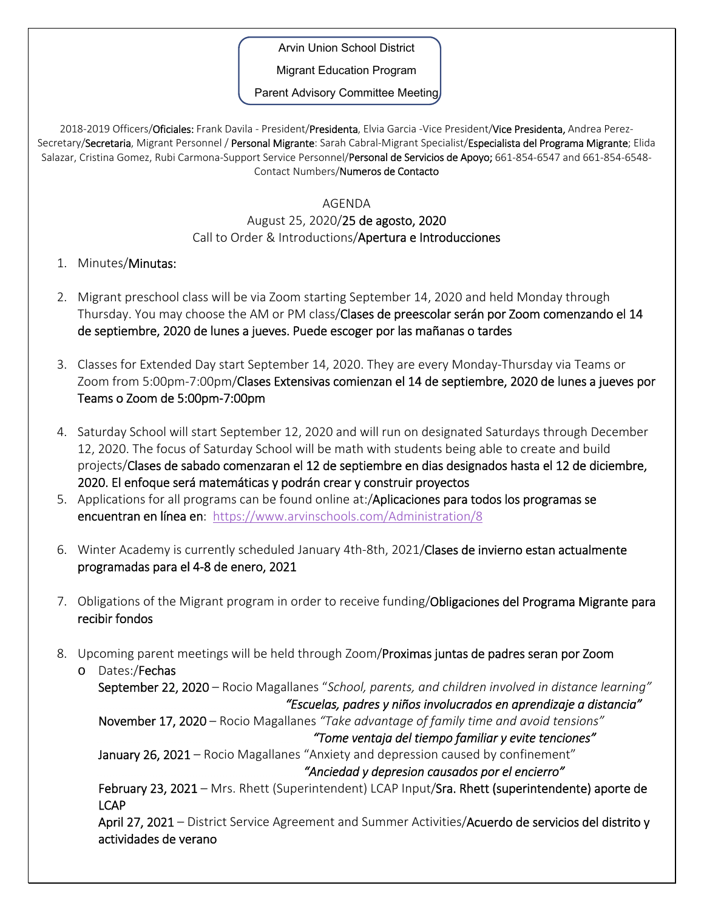Arvin Union School District

Migrant Education Program

Parent Advisory Committee Meeting

2018-2019 Officers/Oficiales: Frank Davila - President/Presidenta, Elvia Garcia -Vice President/Vice Presidenta, Andrea Perez-Secretary/Secretaria, Migrant Personnel / Personal Migrante: Sarah Cabral-Migrant Specialist/Especialista del Programa Migrante; Elida Salazar, Cristina Gomez, Rubi Carmona-Support Service Personnel/Personal de Servicios de Apoyo; 661-854-6547 and 661-854-6548-Contact Numbers/Numeros de Contacto

## AGENDA

## August 25, 2020/25 de agosto, 2020 Call to Order & Introductions/Apertura e Introducciones

- 1. Minutes/Minutas:
- 2. Migrant preschool class will be via Zoom starting September 14, 2020 and held Monday through Thursday. You may choose the AM or PM class/Clases de preescolar serán por Zoom comenzando el 14 de septiembre, 2020 de lunes a jueves. Puede escoger por las mañanas o tardes
- 3. Classes for Extended Day start September 14, 2020. They are every Monday‐Thursday via Teams or Zoom from 5:00pm‐7:00pm/Clases Extensivas comienzan el 14 de septiembre, 2020 de lunes a jueves por Teams o Zoom de 5:00pm‐7:00pm
- 4. Saturday School will start September 12, 2020 and will run on designated Saturdays through December 12, 2020. The focus of Saturday School will be math with students being able to create and build projects/Clases de sabado comenzaran el 12 de septiembre en dias designados hasta el 12 de diciembre, 2020. El enfoque será matemáticas y podrán crear y construir proyectos
- 5. Applications for all programs can be found online at:/Aplicaciones para todos los programas se encuentran en línea en: https://www.arvinschools.com/Administration/8
- 6. Winter Academy is currently scheduled January 4th-8th, 2021/Clases de invierno estan actualmente programadas para el 4‐8 de enero, 2021
- 7. Obligations of the Migrant program in order to receive funding/Obligaciones del Programa Migrante para recibir fondos
- 8. Upcoming parent meetings will be held through Zoom/Proximas juntas de padres seran por Zoom

o Dates:/Fechas September 22, 2020 – Rocio Magallanes "*School, parents, and children involved in distance learning" "Escuelas, padres y niños involucrados en aprendizaje a distancia"*  November 17, 2020 – Rocio Magallanes *"Take advantage of family time and avoid tensions" "Tome ventaja del tiempo familiar y evite tenciones"* January 26, 2021 – Rocio Magallanes "Anxiety and depression caused by confinement"  *"Anciedad y depresion causados por el encierro"* February 23, 2021 – Mrs. Rhett (Superintendent) LCAP Input/Sra. Rhett (superintendente) aporte de LCAP April 27, 2021 – District Service Agreement and Summer Activities/Acuerdo de servicios del distrito y actividades de verano